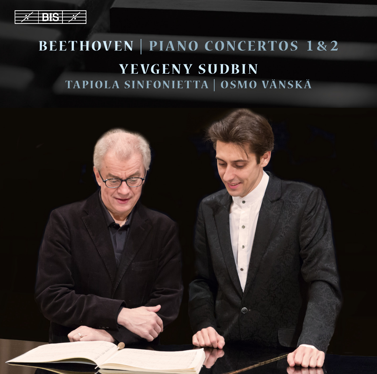| .                   |  |
|---------------------|--|
|                     |  |
| $1 - 1 - 1$<br>- 11 |  |
|                     |  |

# **BEETHOVEN | PIANO CONCERTOS 1 & 2 YEVGENY SUDBIN TAPIOLA SINFONIETTA | OSMO VÄNSK Ä**

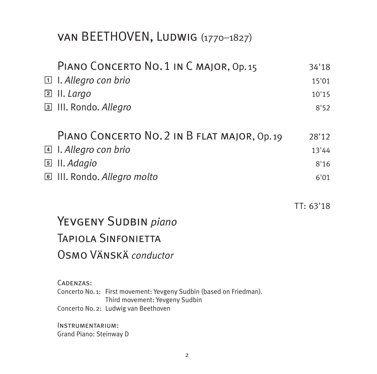# van BEETHOVEN, Ludwig (1770–1827)

| PIANO CONCERTO NO. 1 IN C MAJOR, Op. 15                                                               | 34'18     |
|-------------------------------------------------------------------------------------------------------|-----------|
| I. Allegro con brio<br>$\boxed{1}$                                                                    | 15'01     |
| II. Largo<br>$\lfloor 2 \rfloor$                                                                      | 10'15     |
| 3 III. Rondo. Allegro                                                                                 | 8'52      |
| PIANO CONCERTO NO. 2 IN B FLAT MAJOR, Op. 19                                                          | 28'12     |
| <b>A</b> I. Allegro con brio                                                                          | 13'44     |
| $\boxed{5}$ II. Adagio                                                                                | 8'16      |
| <b>E</b> III. Rondo. Allegro molto                                                                    | 6'01      |
|                                                                                                       | TT: 63'18 |
| YEVGENY SUDBIN piano                                                                                  |           |
| <b>TAPIOLA SINFONIFTTA</b>                                                                            |           |
| OSMO VÄNSKÄ conductor                                                                                 |           |
| CADENZAS:                                                                                             |           |
| Concerto No. 1: First movement: Yevgeny Sudbin (based on Friedman).<br>Third movement: Yevgeny Sudbin |           |
| Concerto No. 2: Ludwig van Beethoven                                                                  |           |
| INSTRUMENTARIUM:                                                                                      |           |

Grand Piano: Steinway D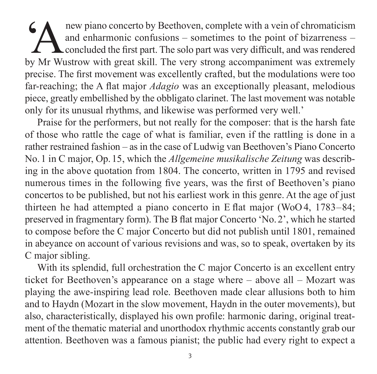**EXECUTE:** The mean piano concerto by Beethoven, complete with a vein of chromaticism<br>and enharmonic confusions – sometimes to the point of bizarreness –<br>concluded the first part. The solo part was very difficult, and was and enharmonic confusions  $-$  sometimes to the point of bizarreness  $-$ **L** concluded the first part. The solo part was very difficult, and was rendered by Mr Wustrow with great skill. The very strong accompaniment was extremely precise. The first movement was excellently crafted, but the modulations were too far-reaching; the A flat major *Adagio* was an exceptionally pleasant, melodious piece, greatly embellished by the obbligato clarinet. The last movement was notable only for its unusual rhythms, and likewise was performed very well.'

Praise for the performers, but not really for the composer: that is the harsh fate of those who rattle the cage of what is familiar, even if the rattling is done in a rather restrained fashion – as in the case of Ludwig van Beethoven's Piano Concerto No. 1 in C major, Op. 15, which the *Allgemeine musikalische Zeitung* was describ ing in the above quotation from 1804. The concerto, written in 1795 and revised numerous times in the following five years, was the first of Beethoven's piano concertos to be published, but not his earliest work in this genre. At the age of just thirteen he had attempted a piano concerto in E flat major (WoO 4, 1783–84; preserved in fragmentary form). The B flat major Con certo 'No.2', which he started to compose before the C major Concerto but did not publish until 1801, remained in abeyance on account of various revisions and was, so to speak, overtaken by its C major sibling.

With its splendid, full orchestration the C major Concerto is an excellent entry ticket for Beethoven's appearance on a stage where – above all – Mozart was playing the awe-inspiring lead role. Beethoven made clear allusions both to him and to Haydn (Mozart in the slow movement, Haydn in the outer movements), but also, characteristically, displayed his own profile: harmonic daring, original treat ment of the thematic material and unorthodox rhythmic accents constantly grab our attention. Beethoven was a famous pianist; the public had every right to expect a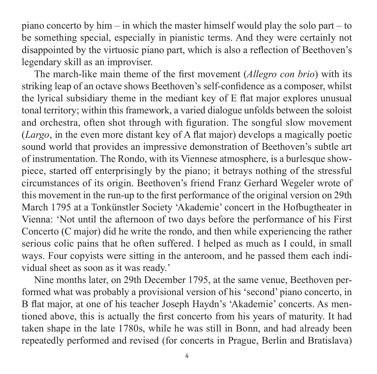piano concerto by him – in which the master himself would play the solo part – to be something special, especially in pianistic terms. And they were certainly not disappointed by the virtuosic piano part, which is also a reflection of Beethoven's legendary skill as an improviser.

The march-like main theme of the first movement (*Allegro con brio*) with its striking leap of an octave shows Beethoven's self-confidence as a composer, whilst the lyrical subsidiary theme in the mediant key of E flat major explores unusual tonal territory; within this framework, a varied dialogue unfolds between the soloist and orchestra, often shot through with figuration. The songful slow movement (*Largo*, in the even more distant key of A flat major) develops a magically poetic sound world that provides an impressive demonstration of Beethoven's subtle art of instru mentation. The Rondo, with its Viennese atmosphere, is a burlesque show piece, started off enterprisingly by the piano; it betrays nothing of the stressful circum stances of its origin. Beethoven's friend Franz Gerhard Wegeler wrote of this movement in the run-up to the first performance of the original version on 29th March 1795 at a Tonkünstler Society 'Akademie' concert in the Hofbugtheater in Vienna: 'Not until the afternoon of two days before the performance of his First Concerto (C major) did he write the rondo, and then while experiencing the rather serious colic pains that he often suffered. I helped as much as I could, in small ways. Four copyists were sitting in the anteroom, and he passed them each individual sheet as soon as it was ready.'

Nine months later, on 29th December 1795, at the same venue, Beethoven performed what was probably a provisional version of his 'second' piano concerto, in B flat major, at one of his teacher Joseph Haydn's 'Akademie' concerts. As mentioned above, this is actually the first concerto from his years of maturity. It had taken shape in the late 1780s, while he was still in Bonn, and had already been repeatedly performed and revised (for concerts in Prague, Berlin and Bratislava)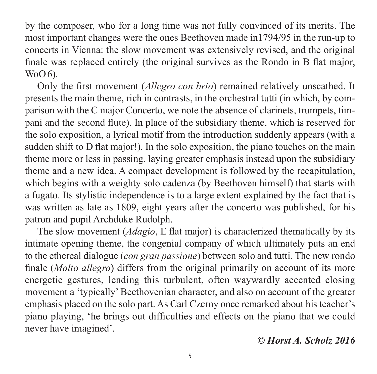by the composer, who for a long time was not fully convinced of its merits. The most important changes were the ones Beethoven made in1794/95 in the run-up to concerts in Vienna: the slow movement was extensively revised, and the original finale was replaced entirely (the original survives as the Rondo in B flat major,  $W<sub>0</sub>O<sub>0</sub>$ .

Only the first movement (*Allegro con brio*) remained relatively unscathed. It presents the main theme, rich in contrasts, in the orchestral tutti (in which, by comparison with the C major Concerto, we note the absence of clarinets, trumpets, tim pani and the second flute). In place of the subsidiary theme, which is reserved for the solo exposition, a lyrical motif from the introduction suddenly appears (with a sudden shift to D flat major!). In the solo exposition, the piano touches on the main theme more or less in passing, laying greater emphasis instead upon the subsidiary theme and a new idea. A compact development is followed by the recapitulation, which begins with a weighty solo cadenza (by Beethoven himself) that starts with a fugato. Its stylistic independence is to a large extent explained by the fact that is was written as late as 1809, eight years after the concerto was published, for his patron and pupil Archduke Rudolph.

The slow movement (*Adagio*, E flat major) is characterized thematically by its intimate opening theme, the congenial company of which ultimately puts an end to the ethereal dialogue (*con gran passione*) between solo and tutti. The new rondo finale (*Molto allegro*) differs from the original primarily on account of its more energetic gestures, lending this turbulent, often waywardly accented closing movement a 'typically' Beethovenian character, and also on account of the greater emphasis placed on the solo part. As Carl Czerny once remarked about his teacher's piano playing, 'he brings out difficulties and effects on the piano that we could never have imagined'.

*© Horst A. Scholz 2016*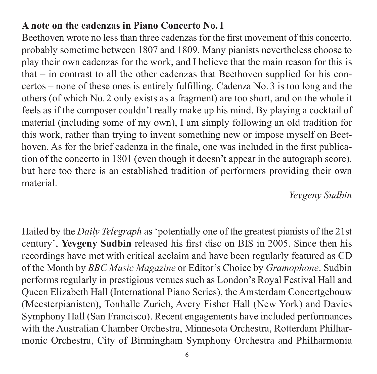### **A note on the cadenzas in Piano Concerto No. 1**

Beethoven wrote no less than three cadenzas for the first movement of this concerto, probably sometime between 1807 and 1809. Many pianists nevertheless choose to play their own cadenzas for the work, and I believe that the main reason for this is that  $-$  in contrast to all the other cadenzas that Beethoven supplied for his concertos – none of these ones is entirely fulfilling. Cadenza No.3 is too long and the others (of which No. 2 only exists as a fragment) are too short, and on the whole it feels as if the composer couldn't really make up his mind. By playing a cocktail of material (including some of my own), I am simply following an old tradition for this work, rather than trying to invent something new or impose myself on Beet hoven. As for the brief cadenza in the finale, one was included in the first publication of the concerto in 1801 (even though it doesn't appear in the autograph score), but here too there is an established tradition of performers providing their own material.

#### *Yevgeny Sudbin*

Hailed by the *Daily Telegraph* as 'potentially one of the greatest pianists of the 21st century', **Yevgeny Sudbin** released his first disc on BIS in 2005. Since then his recordings have met with critical acclaim and have been regularly featured as CD of the Month by *BBC Music Magazine* or Editor's Choice by *Gramophone*. Sudbin performs regularly in prestigious venues such as London's Royal Festival Hall and Queen Elizabeth Hall (International Piano Series), the Amsterdam Concertgebouw (Meesterpianisten), Tonhalle Zurich, Avery Fisher Hall (New York) and Davies Symphony Hall (San Francisco). Recent engagements have included performances with the Australian Chamber Orchestra, Minnesota Orchestra, Rotterdam Philhar monic Orchestra, City of Birmingham Symphony Orchestra and Philharmonia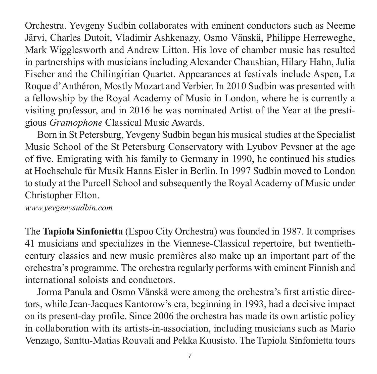Orchestra. Yevgeny Sudbin collaborates with eminent conductors such as Neeme Järvi, Charles Dutoit, Vladimir Ashkenazy, Osmo Vänskä, Philippe Herreweghe, Mark Wigglesworth and Andrew Litton. His love of chamber music has resulted in partnerships with musicians including Alexander Chaushian, Hilary Hahn, Julia Fischer and the Chilingirian Quartet. Appearances at festivals include Aspen, La Roque d'Anthéron, Mostly Mozart and Verbier. In 2010 Sudbin was presented with a fellowship by the Royal Academy of Music in London, where he is currently a visiting professor, and in  $2016$  he was nominated Artist of the Year at the prestigious *Gramophone* Classical Music Awards.

Born in St Petersburg, Yevgeny Sudbin began his musical studies at the Specialist Music School of the St Petersburg Conservatory with Lyubov Pevsner at the age of five. Emigrating with his family to Germany in 1990, he continued his studies at Hoch schule für Musik Hanns Eisler in Berlin. In 1997 Sudbin moved to London to study at the Purcell School and subsequently the Royal Academy of Music under Christopher Elton.

*www.yevgenysudbin.com*

The **Tapiola Sinfonietta** (Espoo City Orchestra) was founded in 1987. It comprises 41 musicians and specializes in the Viennese-Classical repertoire, but twentiethcentury classics and new music premières also make up an important part of the orchestra's programme. The orchestra regularly performs with eminent Finnish and international soloists and conductors.

Jorma Panula and Osmo Vänskä were among the orchestra's first artistic direc tors, while Jean-Jacques Kantorow's era, beginning in 1993, had a decisive impact on its present-day profile. Since 2006 the orchestra has made its own artistic policy in collaboration with its artists-in-association, including musicians such as Mario Venzago, Santtu-Matias Rouvali and Pekka Kuusisto. The Tapiola Sinfonietta tours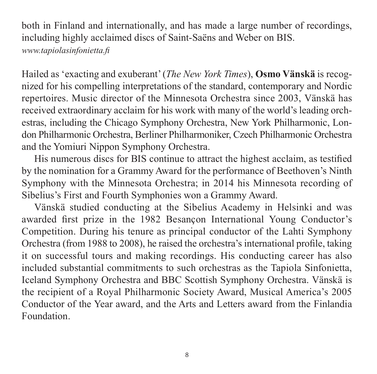both in Finland and internationally, and has made a large number of recordings, including highly acclaimed discs of Saint-Saëns and Weber on BIS. *www.tapiolasinfonietta.fi*

Hailed as 'exacting and exuberant' (*The New York Times*), **Osmo Vänskä** is recog nized for his compelling interpretations of the standard, contemporary and Nordic repertoires. Music director of the Minnesota Orchestra since 2003, Vänskä has received extraordinary acclaim for his work with many of the world's leading orch estras, including the Chicago Symphony Orchestra, New York Philharmonic, London Philharmonic Orchestra, Berliner Philharmoniker, Czech Philharmonic Orchestra and the Yomiuri Nippon Symphony Orchestra.

His numerous discs for BIS continue to attract the highest acclaim, as testified by the nomination for a Grammy Award for the performance of Beethoven's Ninth Symphony with the Minnesota Orchestra; in 2014 his Minnesota recording of Sibelius's First and Fourth Symphonies won a Grammy Award.

Vänskä studied conducting at the Sibelius Academy in Helsinki and was awarded first prize in the 1982 Besançon International Young Conductor's Competition. During his tenure as principal conductor of the Lahti Symphony Orchestra (from 1988 to 2008), he raised the orchestra's international profile, taking it on successful tours and making recordings. His conducting career has also included substantial com mitments to such orchestras as the Tapiola Sinfonietta, Iceland Symphony Orchestra and BBC Scottish Symphony Orchestra. Vänskä is the recipient of a Royal Philharmonic Society Award, Musical America's 2005 Conductor of the Year award, and the Arts and Letters award from the Finlandia Foundation.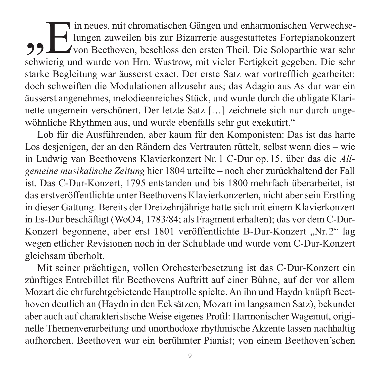of in neues, mit chromatischen Gängen und enharmonischen Verwechse-<br>
von Beethoven, beschloss den ersten Theil. Die Soloparthie war sehr<br>
schwierig und wurde von Hrn. Wustrow, mit vieler Fertigkeit gegeben. Die sehr lungen zuweilen bis zur Bizarrerie ausgestattetes Fortepianokonzert schwierig und wurde von Hrn. Wustrow, mit vieler Fertigkeit gegeben. Die sehr starke Begleitung war äusserst exact. Der erste Satz war vortrefflich gearbeitet: doch schweiften die Modulationen allzusehr aus; das Adagio aus As dur war ein äusserst angenehmes, melodieenreiches Stück, und wurde durch die obligate Klari nette ungemein verschönert. Der letzte Satz […] zeichnete sich nur durch unge wöhnliche Rhythmen aus, und wurde ebenfalls sehr gut exekutirt."

Lob für die Ausführenden, aber kaum für den Komponisten: Das ist das harte Los desjenigen, der an den Rändern des Vertrauten rüttelt, selbst wenn dies – wie in Ludwig van Beethovens Klavierkonzert Nr. 1 C-Dur op. 15, über das die *All gemeine musikalische Zeitung* hier 1804 urteilte – noch eher zurückhaltend der Fall ist. Das C-Dur-Konzert, 1795 entstanden und bis 1800 mehrfach überarbeitet, ist das erstveröffentlichte unter Beethovens Klavierkonzerten, nicht aber sein Erstling in dieser Gattung. Bereits der Dreizehnjährige hatte sich mit einem Klavierkonzert in Es-Dur beschäftigt (WoO4, 1783/84; als Fragment erhalten); das vor dem C-Dur-Konzert begonnene, aber erst 1801 veröffentlichte B-Dur-Konzert "Nr. 2" lag wegen etlicher Revisionen noch in der Schublade und wurde vom C-Dur-Konzert gleichsam überholt.

Mit seiner prächtigen, vollen Orchesterbesetzung ist das C-Dur-Konzert ein zünftiges Entrebillet für Beethovens Auftritt auf einer Bühne, auf der vor allem Mozart die ehrfurchtgebietende Hauptrolle spielte. An ihn und Haydn knüpft Beet hoven deutlich an (Haydn in den Ecksätzen, Mozart im langsamen Satz), bekundet aber auch auf charakteristische Weise eigenes Profil: Harmonischer Wagemut, originelle Themenverarbeitung und unorthodoxe rhythmische Akzente lassen nach haltig aufhorchen. Beethoven war ein berühmter Pianist; von einem Beethoven'schen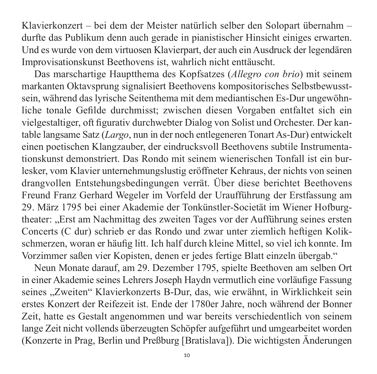Klavierkonzert – bei dem der Meister natürlich selber den Solopart übernahm – durfte das Publikum denn auch gerade in pianistischer Hinsicht einiges erwarten. Und es wurde von dem virtuosen Klavierpart, der auch ein Ausdruck der legendären Improvisationskunst Beethovens ist, wahrlich nicht enttäuscht.

Das marschartige Hauptthema des Kopfsatzes (*Allegro con brio*) mit seinem markanten Oktavsprung signalisiert Beethovens kompositorisches Selbstbewusst sein, während das lyrische Seitenthema mit dem mediantischen Es-Dur ungewöhn liche tonale Gefilde durchmisst; zwischen diesen Vorgaben entfaltet sich ein viel gestaltiger, oft figurativ durchwebter Dialog von Solist und Orchester. Der kan table langsame Satz (*Largo*, nun in der noch entlegeneren Tonart As-Dur) entwickelt einen poetischen Klangzauber, der eindrucksvoll Beethovens subtile Instrumenta tions kunst demonstriert. Das Rondo mit seinem wienerischen Tonfall ist ein bur lesker, vom Klavier unternehmungslustig eröffneter Kehraus, der nichts von seinen drangvollen Entstehungsbedingungen verrät. Über diese berichtet Beethovens Freund Franz Gerhard Wegeler im Vorfeld der Uraufführung der Erstfassung am 29. März 1795 bei einer Akademie der Tonkünstler-Societät im Wiener Hofburg theater: "Erst am Nachmittag des zweiten Tages vor der Aufführung seines ersten Concerts (C dur) schrieb er das Rondo und zwar unter ziemlich heftigen Kolik schmerzen, woran er häufig litt. Ich half durch kleine Mittel, so viel ich konnte. Im Vorzimmer saßen vier Kopisten, denen er jedes fertige Blatt einzeln übergab."

Neun Monate darauf, am 29. Dezember 1795, spielte Beethoven am selben Ort in einer Akademie seines Lehrers Joseph Haydn vermutlich eine vor läufige Fassung seines "Zweiten" Klavierkonzerts B-Dur, das, wie erwähnt, in Wirklichkeit sein erstes Konzert der Reifezeit ist. Ende der 1780er Jahre, noch während der Bonner Zeit, hatte es Gestalt angenommen und war bereits verschiedentlich von seinem lange Zeit nicht vollends überzeugten Schöpfer aufgeführt und umgearbeitet worden (Konzerte in Prag, Berlin und Preßburg [Bratislava]). Die wichtigsten Änderungen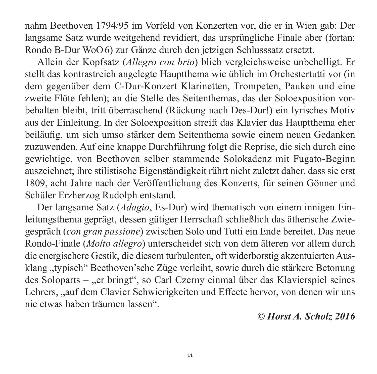nahm Beethoven 1794/95 im Vorfeld von Konzerten vor, die er in Wien gab: Der langsame Satz wurde weitgehend revidiert, das ursprüngliche Finale aber (fortan: Rondo B-Dur WoO 6) zur Gänze durch den jetzigen Schlusssatz ersetzt.

Allein der Kopfsatz (*Allegro con brio*) blieb vergleichsweise unbehelligt. Er stellt das kontrastreich angelegte Hauptthema wie üblich im Orchestertutti vor (in dem gegenüber dem C-Dur-Konzert Klarinetten, Trompeten, Pauken und eine zweite Flöte fehlen); an die Stelle des Seitenthemas, das der Soloexposition vor behalten bleibt, tritt überraschend (Rückung nach Des-Dur!) ein lyrisches Motiv aus der Einleitung. In der Soloexposition streift das Klavier das Hauptthema eher beiläufig, um sich umso stärker dem Seitenthema sowie einem neuen Gedanken zuzuwenden. Auf eine knappe Durchführung folgt die Reprise, die sich durch eine gewichtige, von Beethoven selber stammende Solokadenz mit Fugato-Beginn auszeichnet; ihre stilistische Eigenständigkeit rührt nicht zuletzt daher, dass sie erst 1809, acht Jahre nach der Veröffentlichung des Konzerts, für seinen Gönner und Schüler Erzherzog Rudolph entstand.

Der langsame Satz (*Adagio*, Es-Dur) wird thematisch von einem innigen Einleitungs thema geprägt, dessen gütiger Herrschaft schließlich das ätherische Zwie gespräch (*con gran passione*) zwischen Solo und Tutti ein Ende bereitet. Das neue Rondo-Finale (*Molto allegro*) unterscheidet sich von dem älteren vor allem durch die energischere Gestik, die diesem turbulenten, oft widerborstig akzentuierten Aus klang "typisch" Beethoven'sche Züge verleiht, sowie durch die stärkere Betonung des Soloparts – "er bringt", so Carl Czerny einmal über das Klavierspiel seines Lehrers, "auf dem Clavier Schwierigkeiten und Effecte hervor, von denen wir uns nie etwas haben träumen lassen".

*© Horst A. Scholz 2016*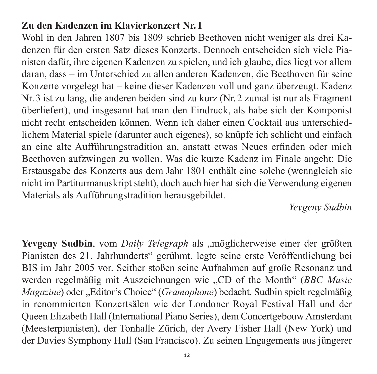#### **Zu den Kadenzen im Klavierkonzert Nr. 1**

Wohl in den Jahren 1807 bis 1809 schrieb Beethoven nicht weniger als drei Kaden zen für den ersten Satz dieses Konzerts. Dennoch entscheiden sich viele Pia nisten dafür, ihre eigenen Kadenzen zu spielen, und ich glaube, dies liegt vor allem daran, dass – im Unterschied zu allen anderen Kadenzen, die Beethoven für seine Konzerte vorgelegt hat – keine dieser Kadenzen voll und ganz überzeugt. Kadenz Nr. 3 ist zu lang, die anderen beiden sind zu kurz (Nr.2 zumal ist nur als Fragment überliefert), und insgesamt hat man den Eindruck, als habe sich der Komponist nicht recht entscheiden können. Wenn ich daher einen Cocktail aus unterschied lichem Material spiele (darunter auch eigenes), so knüpfe ich schlicht und einfach an eine alte Aufführungstradition an, anstatt etwas Neues erfinden oder mich Beethoven aufzwingen zu wollen. Was die kurze Kadenz im Finale angeht: Die Erstausgabe des Konzerts aus dem Jahr 1801 enthält eine solche (wenngleich sie nicht im Partiturmanuskript steht), doch auch hier hat sich die Verwendung eigenen Materials als Aufführungstradition herausgebildet.

*Yevgeny Sudbin*

Yevgeny Sudbin, vom *Daily Telegraph* als "möglicherweise einer der größten Pia nisten des 21. Jahrhunderts" gerühmt, legte seine erste Veröffentlichung bei BIS im Jahr 2005 vor. Seither stoßen seine Aufnahmen auf große Resonanz und werden regelmäßig mit Auszeichnungen wie "CD of the Month" (*BBC Music Magazine*) oder "Editor's Choice" (*Gramophone*) bedacht. Sudbin spielt regelmäßig in renom mierten Konzertsälen wie der Londoner Royal Festival Hall und der Queen Elizabeth Hall (International Piano Series), dem Concertgebouw Amsterdam (Meesterpianisten), der Tonhalle Zürich, der Avery Fisher Hall (New York) und der Davies Symphony Hall (San Francisco). Zu seinen Engagements aus jüngerer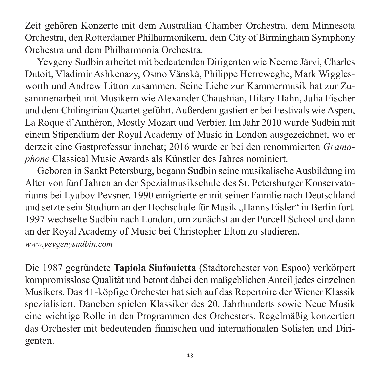Zeit gehören Konzerte mit dem Australian Chamber Orchestra, dem Minnesota Orchestra, den Rotterdamer Philharmonikern, dem City of Birmingham Symphony Orchestra und dem Philharmonia Orchestra.

Yevgeny Sudbin arbeitet mit bedeutenden Dirigenten wie Neeme Järvi, Charles Dutoit, Vladimir Ashkenazy, Osmo Vänskä, Philippe Herreweghe, Mark Wiggles worth und Andrew Litton zusammen. Seine Liebe zur Kammermusik hat zur Zusam menarbeit mit Musikern wie Alexander Chaushian, Hilary Hahn, Julia Fischer und dem Chilingirian Quartet geführt. Außerdem gastiert er bei Festivals wie Aspen, La Roque d'Anthéron, Mostly Mozart und Verbier. Im Jahr 2010 wurde Sudbin mit einem Stipendium der Royal Academy of Music in London ausge zeichnet, wo er derzeit eine Gastprofessur innehat; 2016 wurde er bei den renommierten *Gramo phone* Classical Music Awards als Künstler des Jahres nominiert.

Geboren in Sankt Petersburg, begann Sudbin seine musikalische Ausbildung im Alter von fünf Jahren an der Spezialmusikschule des St. Petersburger Konservatoriums bei Lyubov Pevsner. 1990 emigrierte er mit seiner Familie nach Deutschland und setzte sein Studium an der Hochschule für Musik "Hanns Eisler" in Berlin fort. 1997 wechselte Sudbin nach London, um zunächst an der Purcell School und dann an der Royal Academy of Music bei Christopher Elton zu studieren. *www.yevgenysudbin.com*

Die 1987 gegründete **Tapiola Sinfonietta** (Stadtorchester von Espoo) verkörpert kompromisslose Qualität und betont dabei den maßgeblichen Anteil jedes einzelnen Musikers. Das 41-köpfige Orchester hat sich auf das Repertoire der Wiener Klassik spezialisiert. Daneben spielen Klassiker des 20. Jahrhunderts sowie Neue Musik eine wichtige Rolle in den Programmen des Orchesters. Regelmäßig konzertiert das Orchester mit bedeutenden finnischen und internationalen Solisten und Dirigenten.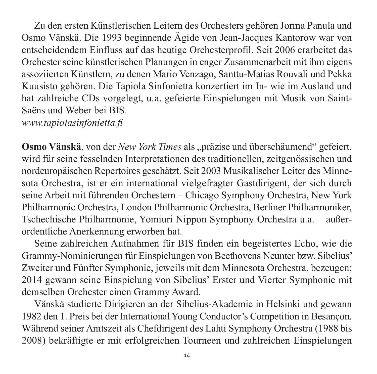Zu den ersten Künstlerischen Leitern des Orchesters gehören Jorma Panula und Osmo Vänskä. Die 1993 beginnende Ägide von Jean-Jacques Kantorow war von entscheidendem Einfluss auf das heutige Orchesterprofil. Seit 2006 erarbeitet das Orchester seine künstlerischen Planungen in enger Zusammenarbeit mit ihm eigens assoziierten Künstlern, zu denen Mario Venzago, Santtu-Matias Rouvali und Pekka Kuusisto gehören. Die Tapiola Sinfonietta konzertiert im In- wie im Ausland und hat zahlreiche CDs vorgelegt, u.a. gefeierte Einspielungen mit Musik von Saint-Saëns und Weber bei BIS.

*www.tapiolasinfonietta.fi*

**Osmo Vänskä**, von der *New York Times* als "präzise und überschäumend" gefeiert, wird für seine fesselnden Interpretationen des traditionellen, zeitgenössischen und nordeuropäischen Repertoires geschätzt. Seit 2003 Musikalischer Leiter des Minnesota Orchestra, ist er ein international vielgefragter Gastdirigent, der sich durch seine Arbeit mit führenden Orchestern – Chicago Symphony Orchestra, New York Philharmonic Orchestra, London Philharmonic Orchestra, Berliner Philharmoniker, Tschechische Phil harmonie, Yomiuri Nippon Symphony Orchestra u.a. – außer ordentliche Anerkennung erworben hat.

Seine zahlreichen Aufnahmen für BIS finden ein be geistertes Echo, wie die Grammy-Nominierungen für Einspielungen von Beetho vens Neunter bzw. Sibelius' Zweiter und Fünfter Symphonie, jeweils mit dem Minnesota Orchestra, bezeugen; 2014 gewann seine Einspielung von Sibelius' Erster und Vierter Symphonie mit demselben Orchester einen Grammy Award.

Vänskä studierte Dirigieren an der Sibelius-Akademie in Helsinki und gewann 1982 den 1. Preis bei der International Young Conductor's Competition in Besançon. Während seiner Amtszeit als Chefdirigent des Lahti Symphony Orchestra (1988 bis 2008) bekräftigte er mit erfolgreichen Tourneen und zahlreichen Einspielungen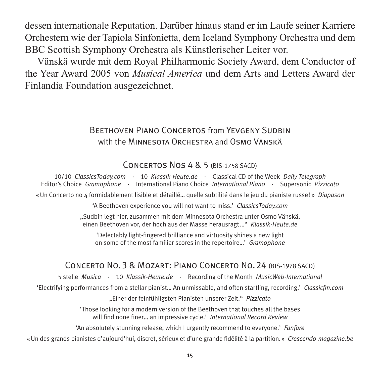dessen interna tionale Reputation. Darüber hinaus stand er im Laufe seiner Karriere Orchestern wie der Tapiola Sinfonietta, dem Iceland Symphony Orchestra und dem BBC Scottish Symphony Orchestra als Künstlerischer Leiter vor.

Vänskä wurde mit dem Royal Philharmonic Society Award, dem Conductor of the Year Award 2005 von *Musical America* und dem Arts and Letters Award der Finlandia Foundation ausgezeichnet.

#### BEETHOVEN PIANO CONCERTOS from YEVGENY SUDBIN with the MINNESOTA ORCHESTRA and OSMO VÄNSKÄ

#### Concertos Nos 4 & 5 (BIS-1758 SACD)

10/10 *ClassicsToday.com* · 10 *Klassik-Heute.de* · Classical CD of the Week *Daily Telegraph* Editor's Choice *Gramophone* · International Piano Choice *International Piano* · Supersonic *Pizzicato* « Un Concerto no 4 formidablement lisible et détaillé… quelle subtilité dans le jeu du pianiste russe ! » *Diapason*

'A Beethoven experience you will not want to miss.' *ClassicsToday.com*

"Sudbin legt hier, zusammen mit dem Minnesota Orchestra unter Osmo Vänskä, einen Beethoven vor, der hoch aus der Masse herausragt …" *Klassik-Heute.de*

'Delectably light-fingered brilliance and virtuosity shines a new light on some of the most familiar scores in the repertoire…' *Gramophone*

#### CONCERTO NO. 3 & MOZART: PIANO CONCERTO NO. 24 (BIS-1978 SACD)

5 stelle *Musica* · 10 *Klassik-Heute.de* · Recording of the Month *MusicWeb-International*

'Electrifying performances from a stellar pianist… An unmissable, and often startling, recording.' *Classicfm.com*

"Einer der feinfühligsten Pianisten unserer Zeit." *Pizzicato*

'Those looking for a modern version of the Beethoven that touches all the bases will find none finer… an impressive cycle.' *International Record Review*

'An absolutely stunning release, which I urgently recommend to everyone.' *Fanfare*

«Un des grands pianistes d'aujourd'hui, discret, sérieux et d'une grande fidélité à la partition.» *Crescendo-magazine.be*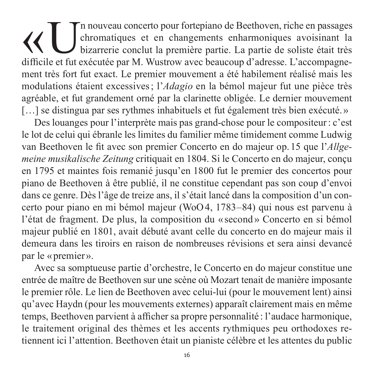(<br>
Un nouveau concerto pour fortepiano de Beethoven, riche en passages<br>
bizarrerie conclut la première partie. La partie de soliste était très<br>
difficile et fut exécutée par M. Wustrow avec beaucoun d'adresse. L'accompagne chromatiques et en changements enharmoniques avoisinant la bizarrerie conclut la première partie. La partie de soliste était très difficile et fut exécutée par M. Wustrow avec beaucoup d'adresse. L'accompagnement très fort fut exact. Le premier mouvement a été habilement réalisé mais les modulations étaient excessives ; l'*Adagio* en la bémol majeur fut une pièce très agréable, et fut grandement orné par la clarinette obligée. Le dernier mouvement [...] se distingua par ses rythmes inhabituels et fut également très bien exécuté.»

Des louanges pour l'interprète mais pas grand-chose pour le compositeur: c'est le lot de celui qui ébranle les limites du familier même timidement comme Ludwig van Beethoven le fit avec son premier Concerto en do majeur op. 15 que l'*Allge meine musikalische Zeitung* critiquait en 1804. Si le Concerto en do majeur, conçu en 1795 et maintes fois remanié jusqu'en 1800 fut le premier des concertos pour piano de Beethoven à être publié, il ne constitue cependant pas son coup d'envoi dans ce genre. Dès l'âge de treize ans, il s'était lancé dans la composition d'un concerto pour piano en mi bémol majeur (WoO 4, 1783–84) qui nous est parvenu à l'état de fragment. De plus, la composition du « second » Concerto en si bémol majeur publié en 1801, avait débuté avant celle du concerto en do majeur mais il demeura dans les tiroirs en raison de nombreuses révisions et sera ainsi devancé par le « premier ».

Avec sa somptueuse partie d'orchestre, le Concerto en do majeur constitue une entrée de maître de Beethoven sur une scène où Mozart tenait de manière imposante le premier rôle. Le lien de Beethoven avec celui-lui (pour le mouvement lent) ainsi qu'avec Haydn (pour les mouvements externes) apparaît clairement mais en même temps, Beethoven parvient à afficher sa propre personnalité: l'audace harmonique, le traitement original des thèmes et les accents rythmiques peu orthodoxes re tiennent ici l'attention. Beethoven était un pianiste célèbre et les attentes du public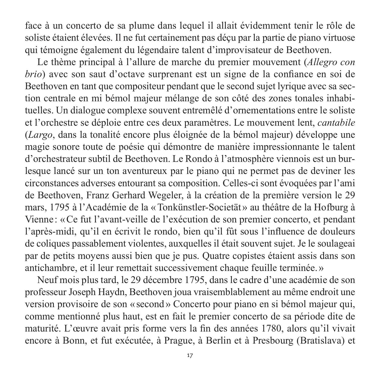face à un concerto de sa plume dans lequel il allait évidemment tenir le rôle de soliste étaient élevées. Il ne fut certainement pas déçu par la partie de piano virtuose qui témoigne également du légendaire talent d'improvisateur de Beethoven.

Le thème principal à l'allure de marche du premier mouvement (*Allegro con brio*) avec son saut d'octave surprenant est un signe de la confiance en soi de Beethoven en tant que compositeur pendant que le second sujet lyrique avec sa section centrale en mi bémol majeur mélange de son côté des zones tonales inhabi tuelles. Un dialogue complexe souvent entremêlé d'ornementations entre le soliste et l'orchestre se déploie entre ces deux paramètres. Le mouvement lent, *cantabile* (*Largo*, dans la tonalité encore plus éloignée de la bémol majeur) développe une magie sonore toute de poésie qui démontre de manière impressionnante le talent d'orchestrateur subtil de Beethoven. Le Rondo à l'atmosphère viennois est un bur lesque lancé sur un ton aventureux par le piano qui ne permet pas de deviner les circonstances adverses entourant sa composition. Celles-ci sont évoquées par l'ami de Beethoven, Franz Gerhard Wegeler, à la création de la première version le 29 mars, 1795 à l'Académie de la « Tonkünstler-Societät » au théâtre de la Hofburg à Vienne : « Ce fut l'avant-veille de l'exécution de son premier concerto, et pendant l'après-midi, qu'il en écrivit le rondo, bien qu'il fût sous l'influence de douleurs de coliques passablement violentes, auxquelles il était souvent sujet. Je le soulageai par de petits moyens aussi bien que je pus. Quatre copistes étaient assis dans son antichambre, et il leur remettait successivement chaque feuille terminée.»

Neuf mois plus tard, le 29 décembre 1795, dans le cadre d'une académie de son professeur Joseph Haydn, Beethoven joua vraisemblablement au même endroit une version provisoire de son «second » Concerto pour piano en si bémol majeur qui, comme mentionné plus haut, est en fait le premier concerto de sa période dite de maturité. L'œuvre avait pris forme vers la fin des années 1780, alors qu'il vivait encore à Bonn, et fut exécutée, à Prague, à Berlin et à Presbourg (Bratislava) et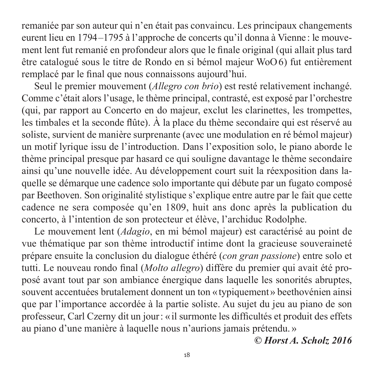remaniée par son auteur qui n'en était pas convaincu. Les principaux changements eurent lieu en 1794–1795 à l'approche de concerts qu'il donna à Vienne : le mouvement lent fut remanié en profondeur alors que le finale original (qui allait plus tard être catalogué sous le titre de Rondo en si bémol majeur WoO6) fut entièrement remplacé par le final que nous connaissons aujourd'hui.

Seul le premier mouvement (*Allegro con brio*) est resté relativement inchangé. Comme c'était alors l'usage, le thème principal, contrasté, est exposé par l'orchestre (qui, par rapport au Concerto en do majeur, exclut les clarinettes, les trompettes, les timbales et la seconde flûte). À la place du thème secondaire qui est réservé au soliste, survient de manière surprenante (avec une modulation en ré bémol majeur) un motif lyrique issu de l'introduction. Dans l'exposition solo, le piano aborde le thème principal presque par hasard ce qui souligne davantage le thème secondaire ainsi qu'une nouvelle idée. Au développement court suit la réexposition dans laquelle se démarque une cadence solo importante qui débute par un fugato composé par Beethoven. Son originalité stylistique s'explique entre autre par le fait que cette cadence ne sera composée qu'en 1809, huit ans donc après la publication du concerto, à l'intention de son protecteur et élève, l'archiduc Rodolphe.

Le mouvement lent (*Adagio*, en mi bémol majeur) est caractérisé au point de vue thématique par son thème introductif intime dont la gracieuse souveraineté prépare ensuite la conclusion du dialogue éthéré (*con gran passione*) entre solo et tutti. Le nouveau rondo final *(Molto allegro)* diffère du premier qui avait été proposé avant tout par son ambiance énergique dans laquelle les sonorités abruptes, souvent accentuées brutalement donnent un ton «typiquement» beethovénien ainsi que par l'importance accordée à la partie soliste. Au sujet du jeu au piano de son professeur, Carl Czerny dit un jour: «il surmonte les difficultés et produit des effets au piano d'une manière à laquelle nous n'aurions jamais prétendu.»

*© Horst A. Scholz 2016*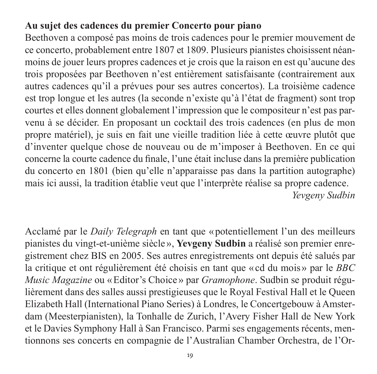## **Au sujet des cadences du premier Concerto pour piano**

Beethoven a composé pas moins de trois cadences pour le premier mouvement de ce concerto, probablement entre 1807 et 1809. Plusieurs pianistes choisissent néan moins de jouer leurs propres cadences et je crois que la raison en est qu'aucune des trois proposées par Beethoven n'est entièrement satisfaisante (contrairement aux autres cadences qu'il a prévues pour ses autres concertos). La troisième cadence est trop longue et les autres (la seconde n'existe qu'à l'état de fragment) sont trop courtes et elles donnent globalement l'impression que le compositeur n'est pas par venu à se décider. En proposant un cocktail des trois cadences (en plus de mon propre matériel), je suis en fait une vieille tradition liée à cette œuvre plutôt que d'in venter quelque chose de nouveau ou de m'imposer à Beethoven. En ce qui concerne la courte cadence du finale, l'une était incluse dans la première publication du concerto en 1801 (bien qu'elle n'apparaisse pas dans la partition autographe) mais ici aussi, la tradition établie veut que l'interprète réalise sa propre cadence. *Yevgeny Sudbin*

Acclamé par le *Daily Telegraph* en tant que «potentiellement l'un des meilleurs pianistes du vingt-et-unième siècle», Yevgeny Sudbin a réalisé son premier enregistre ment chez BIS en 2005. Ses autres enregistrements ont depuis été salués par la critique et ont régulièrement été choisis en tant que «cd du mois » par le *BBC Music Magazine* ou «Editor's Choice» par *Gramophone*. Sudbin se produit régulière ment dans des salles aussi prestigieuses que le Royal Festival Hall et le Queen Elizabeth Hall (International Piano Series) à Londres, le Concertgebouw à Amster dam (Meesterpianisten), la Tonhalle de Zurich, l'Avery Fisher Hall de New York et le Davies Symphony Hall à San Francisco. Parmi ses engagements récents, men tionnons ses concerts en compagnie de l'Australian Chamber Orchestra, de l'Or -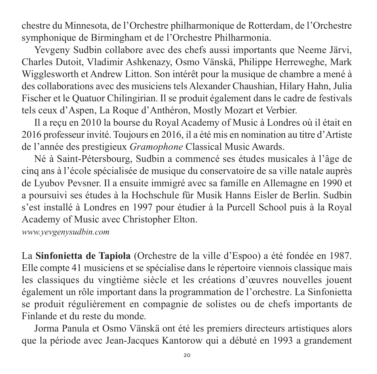ches tre du Minnesota, de l'Orchestre philharmonique de Rotterdam, de l'Orchestre symphonique de Birmingham et de l'Orchestre Philharmonia.

Yevgeny Sudbin collabore avec des chefs aussi importants que Neeme Järvi, Charles Dutoit, Vladimir Ashkenazy, Osmo Vänskä, Philippe Herreweghe, Mark Wiggles worth et Andrew Litton. Son intérêt pour la musique de chambre a mené à des collaborations avec des musiciens tels Alexander Chaushian, Hilary Hahn, Julia Fischer et le Quatuor Chilingirian. Il se produit également dans le cadre de festivals tels ceux d'Aspen, La Roque d'Anthéron, Mostly Mozart et Verbier.

Il a reçu en 2010 la bourse du Royal Academy of Music à Londres où il était en 2016 professeur invité. Toujours en 2016, il a été mis en nomination au titre d'Artiste de l'année des prestigieux *Gramophone* Classical Music Awards.

Né à Saint-Pétersbourg, Sudbin a commencé ses études musicales à l'âge de cinq ans à l'école spécialisée de musique du conservatoire de sa ville natale auprès de Lyubov Pevsner. Il a ensuite immigré avec sa famille en Allemagne en 1990 et a poursuivi ses études à la Hochschule für Musik Hanns Eisler de Berlin. Sudbin s'est installé à Londres en 1997 pour étudier à la Purcell School puis à la Royal Aca demy of Music avec Christopher Elton.

*www.yevgenysudbin.com*

La **Sinfonietta de Tapiola** (Orchestre de la ville d'Espoo) a été fondée en 1987. Elle compte 41 musiciens et se spécialise dans le répertoire viennois classique mais les classiques du vingtième siècle et les créations d'œuvres nouvelles jouent également un rôle important dans la programmation de l'orchestre. La Sin fonietta se produit régulièrement en compagnie de solistes ou de chefs importants de Finlande et du reste du monde.

Jorma Panula et Osmo Vänskä ont été les premiers directeurs artistiques alors que la période avec Jean-Jacques Kantorow qui a débuté en 1993 a grandement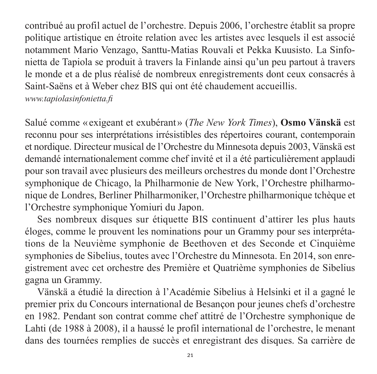contribué au profil actuel de l'orchestre. Depuis 2006, l'orchestre établit sa propre politique artistique en étroite relation avec les artistes avec lesquels il est associé notamment Mario Venzago, Santtu-Matias Rouvali et Pekka Kuusisto. La Sinfonietta de Tapiola se produit à travers la Finlande ainsi qu'un peu partout à travers le monde et a de plus réalisé de nombreux enregistrements dont ceux consacrés à Saint-Saëns et à Weber chez BIS qui ont été chaudement accueillis. *www.tapiolasinfonietta.fi*

Salué comme « exigeant et exubérant » (*The New York Times*), **Osmo Vänskä** est re connu pour ses interprétations irrésistibles des répertoires courant, contemporain et nordique. Directeur musical de l'Orchestre du Minnesota depuis 2003, Vänskä est demandé internationalement comme chef invité et il a été particulièrement applaudi pour son travail avec plusieurs des meilleurs orchestres du monde dont l'Orchestre symphonique de Chicago, la Philharmonie de New York, l'Orchestre philharmonique de Londres, Berliner Philharmoniker, l'Orchestre philharmonique tchèque et l'Orchestre symphonique Yomiuri du Japon.

Ses nombreux disques sur étiquette BIS continuent d'attirer les plus hauts éloges, comme le prouvent les nominations pour un Grammy pour ses interpréta tions de la Neuvième symphonie de Beethoven et des Seconde et Cinquième symphonies de Sibelius, toutes avec l'Orchestre du Minnesota. En 2014, son enregistre ment avec cet orchestre des Première et Quatrième sym phonies de Sibelius gagna un Grammy.

Vänskä a étudié la direction à l'Académie Sibelius à Helsinki et il a gagné le pre mier prix du Concours international de Besançon pour jeunes chefs d'orchestre en 1982. Pendant son contrat comme chef attitré de l'Orchestre symphonique de Lahti (de 1988 à 2008), il a haussé le profil international de l'orchestre, le menant dans des tournées remplies de succès et enregistrant des disques. Sa carrière de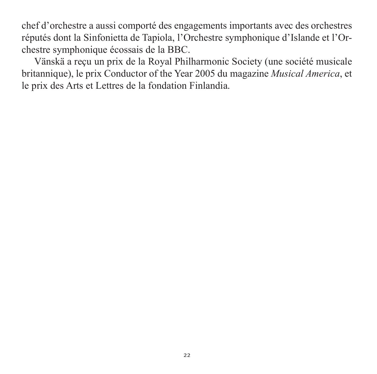chef d'orchestre a aussi comporté des engagements importants avec des orchestres réputés dont la Sinfonietta de Tapiola, l'Orchestre symphonique d'Islande et l'Or chestre symphonique écossais de la BBC.

Vänskä a reçu un prix de la Royal Philharmonic Society (une société musicale britannique), le prix Conductor of the Year 2005 du magazine *Musical America*, et le prix des Arts et Lettres de la fondation Finlandia.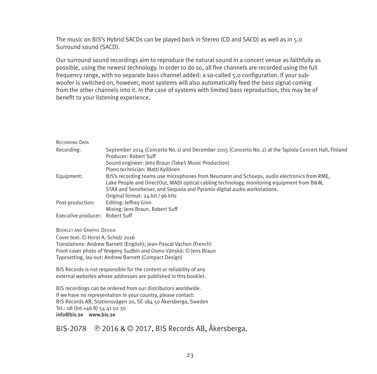The music on BIS's Hybrid SACDs can be played back in Stereo (CD and SACD) as well as in 5.0 Surround sound (SACD).

Our surround sound recordings aim to reproduce the natural sound in a concert venue as faith fully as possible, using the newest technology. In order to do so, all five channels are recorded using the full frequency range, with no separate bass channel added: a so-called 5.0 configuration. If your subwoofer is switched on, however, most systems will also automatically feed the bass signal coming from the other channels into it. In the case of systems with limited bass reproduction, this may be of benefit to your listening experience.

| RECORDING DATA                  |                                                                                                                                  |
|---------------------------------|----------------------------------------------------------------------------------------------------------------------------------|
| Recording:                      | September 2014 (Concerto No. 1) and December 2015 (Concerto No. 2) at the Tapiola Concert Hall, Finland<br>Producer: Robert Suff |
|                                 | Sound engineer: Jens Braun (Take5 Music Production)                                                                              |
|                                 | Piano technician: Matti Kyllönen                                                                                                 |
|                                 | BIS's recording teams use microphones from Neumann and Schoeps, audio electronics from RME,                                      |
| Equipment:                      |                                                                                                                                  |
|                                 | Lake People and DirectOut, MADI optical cabling technology, monitoring equipment from B&W,                                       |
|                                 | STAX and Sennheiser, and Sequoia and Pyramix digital audio workstations.                                                         |
|                                 | Original format: 24-bit / 96 kHz                                                                                                 |
| Post-production:                | Editing: Jeffrey Ginn                                                                                                            |
|                                 | Mixing: Jens Braun, Robert Suff                                                                                                  |
| Executive producer: Robert Suff |                                                                                                                                  |

BOOKLET AND GRAPHIC DESIGN

Cover text: © Horst A. Scholz 2016 Translations: Andrew Barnett (English); Jean-Pascal Vachon (French) Front cover photo of Yevgeny Sudbin and Osmo Vänskä: © Jens Braun Typesetting, lay-out: Andrew Barnett (Compact Design)

BIS Records is not responsible for the content or reliability of any external websites whose addresses are published in this booklet.

BIS recordings can be ordered from our distributors worldwide. If we have no representation in your country, please contact: BIS Records AB, Stationsvägen 20, SE-184 50 Åkersberga, Sweden  $T_{\text{el}}$ : 08 (Int +46 8) 54 41 02 30 info@bis.se www.bis.se

BIS-2078 9 2016 & © 2017, BIS Records AB, Åkersberga.